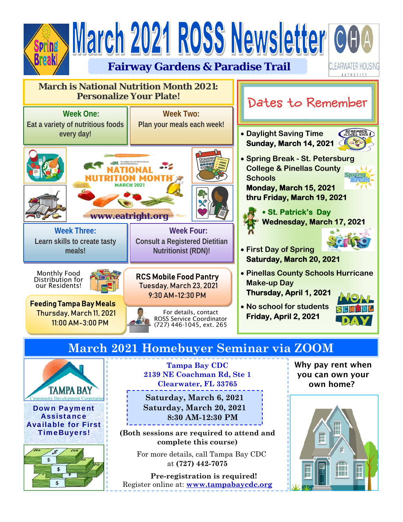